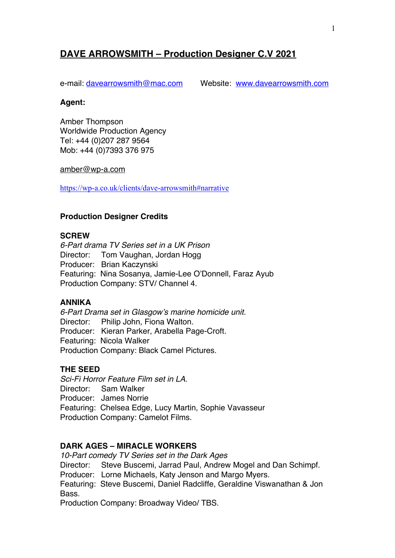# **DAVE ARROWSMITH – Production Designer C.V 2021**

e-mail: davearrowsmith@mac.com Website: www.davearrowsmith.com

#### **Agent:**

Amber Thompson Worldwide Production Agency Tel: +44 (0)207 287 9564 Mob: +44 (0)7393 376 975

#### amber@wp-a.com

https://wp-a.co.uk/clients/dave-arrowsmith#narrative

### **Production Designer Credits**

#### **SCREW**

*6-Part drama TV Series set in a UK Prison* Director: Tom Vaughan, Jordan Hogg Producer: Brian Kaczynski Featuring: Nina Sosanya, Jamie-Lee O'Donnell, Faraz Ayub Production Company: STV/ Channel 4.

#### **ANNIKA**

*6-Part Drama set in Glasgow's marine homicide unit.* Director: Philip John, Fiona Walton. Producer: Kieran Parker, Arabella Page-Croft. Featuring: Nicola Walker Production Company: Black Camel Pictures.

## **THE SEED**

*Sci-Fi Horror Feature Film set in LA.* Director: Sam Walker Producer: James Norrie Featuring: Chelsea Edge, Lucy Martin, Sophie Vavasseur Production Company: Camelot Films.

## **DARK AGES – MIRACLE WORKERS**

*10-Part comedy TV Series set in the Dark Ages* Director: Steve Buscemi, Jarrad Paul, Andrew Mogel and Dan Schimpf. Producer: Lorne Michaels, Katy Jenson and Margo Myers. Featuring: Steve Buscemi, Daniel Radcliffe, Geraldine Viswanathan & Jon Bass.

Production Company: Broadway Video/ TBS.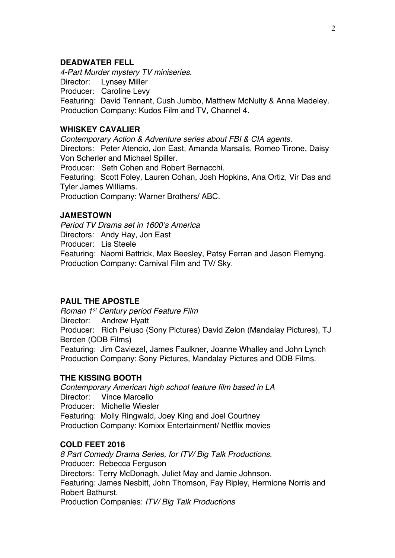### **DEADWATER FELL**

*4-Part Murder mystery TV miniseries.* Director: Lynsey Miller Producer: Caroline Levy Featuring: David Tennant, Cush Jumbo, Matthew McNulty & Anna Madeley. Production Company: Kudos Film and TV, Channel 4.

## **WHISKEY CAVALIER**

*Contemporary Action & Adventure series about FBI & CIA agents.* Directors: Peter Atencio, Jon East, Amanda Marsalis, Romeo Tirone, Daisy Von Scherler and Michael Spiller. Producer: Seth Cohen and Robert Bernacchi.

Featuring: Scott Foley, Lauren Cohan, Josh Hopkins, Ana Ortiz, Vir Das and Tyler James Williams.

Production Company: Warner Brothers/ ABC.

## **JAMESTOWN**

*Period TV Drama set in 1600's America* Directors: Andy Hay, Jon East Producer: Lis Steele Featuring: Naomi Battrick, Max Beesley, Patsy Ferran and Jason Flemyng. Production Company: Carnival Film and TV/ Sky.

## **PAUL THE APOSTLE**

*Roman 1st Century period Feature Film* Director: Andrew Hyatt Producer: Rich Peluso (Sony Pictures) David Zelon (Mandalay Pictures), TJ Berden (ODB Films) Featuring: Jim Caviezel, James Faulkner, Joanne Whalley and John Lynch Production Company: Sony Pictures, Mandalay Pictures and ODB Films.

## **THE KISSING BOOTH**

*Contemporary American high school feature film based in LA* Director: Vince Marcello Producer: Michelle Wiesler Featuring: Molly Ringwald, Joey King and Joel Courtney Production Company: Komixx Entertainment/ Netflix movies

## **COLD FEET 2016**

*8 Part Comedy Drama Series, for ITV/ Big Talk Productions.* Producer: Rebecca Ferguson Directors: Terry McDonagh, Juliet May and Jamie Johnson. Featuring: James Nesbitt, John Thomson, Fay Ripley, Hermione Norris and Robert Bathurst. Production Companies: *ITV/ Big Talk Productions*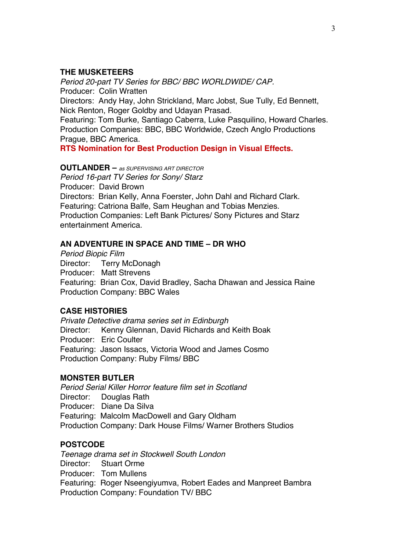### **THE MUSKETEERS**

*Period 20-part TV Series for BBC/ BBC WORLDWIDE/ CAP.* Producer: Colin Wratten

Directors: Andy Hay, John Strickland, Marc Jobst, Sue Tully, Ed Bennett, Nick Renton, Roger Goldby and Udayan Prasad.

Featuring: Tom Burke, Santiago Caberra, Luke Pasquilino, Howard Charles. Production Companies: BBC, BBC Worldwide, Czech Anglo Productions Prague, BBC America.

**RTS Nomination for Best Production Design in Visual Effects.**

#### **OUTLANDER –** *as SUPERVISING ART DIRECTOR*

*Period 16-part TV Series for Sony/ Starz* Producer: David Brown Directors: Brian Kelly, Anna Foerster, John Dahl and Richard Clark. Featuring: Catriona Balfe, Sam Heughan and Tobias Menzies. Production Companies: Left Bank Pictures/ Sony Pictures and Starz entertainment America.

### **AN ADVENTURE IN SPACE AND TIME – DR WHO**

*Period Biopic Film* Director: Terry McDonagh Producer: Matt Strevens Featuring: Brian Cox, David Bradley, Sacha Dhawan and Jessica Raine Production Company: BBC Wales

## **CASE HISTORIES**

*Private Detective drama series set in Edinburgh* Director: Kenny Glennan, David Richards and Keith Boak Producer: Eric Coulter Featuring: Jason Issacs, Victoria Wood and James Cosmo Production Company: Ruby Films/ BBC

#### **MONSTER BUTLER**

*Period Serial Killer Horror feature film set in Scotland* Director: Douglas Rath Producer: Diane Da Silva Featuring: Malcolm MacDowell and Gary Oldham Production Company: Dark House Films/ Warner Brothers Studios

## **POSTCODE**

*Teenage drama set in Stockwell South London* Director: Stuart Orme Producer: Tom Mullens Featuring: Roger Nseengiyumva, Robert Eades and Manpreet Bambra Production Company: Foundation TV/ BBC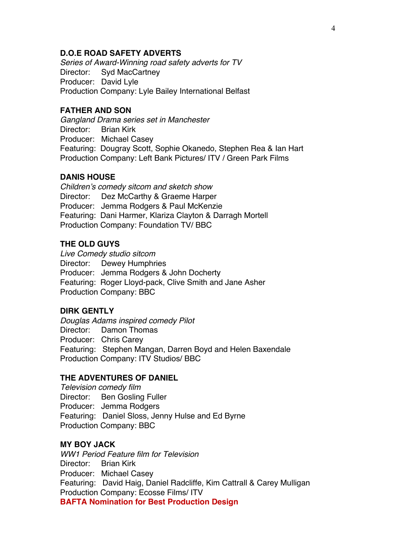#### **D.O.E ROAD SAFETY ADVERTS**

*Series of Award-Winning road safety adverts for TV* Director: Syd MacCartney Producer: David Lyle Production Company: Lyle Bailey International Belfast

### **FATHER AND SON**

*Gangland Drama series set in Manchester* Director: Brian Kirk Producer: Michael Casey Featuring: Dougray Scott, Sophie Okanedo, Stephen Rea & Ian Hart Production Company: Left Bank Pictures/ ITV / Green Park Films

#### **DANIS HOUSE**

*Children's comedy sitcom and sketch show* Director: Dez McCarthy & Graeme Harper Producer: Jemma Rodgers & Paul McKenzie Featuring: Dani Harmer, Klariza Clayton & Darragh Mortell Production Company: Foundation TV/ BBC

### **THE OLD GUYS**

*Live Comedy studio sitcom* Director: Dewey Humphries Producer: Jemma Rodgers & John Docherty Featuring: Roger Lloyd-pack, Clive Smith and Jane Asher Production Company: BBC

### **DIRK GENTLY**

*Douglas Adams inspired comedy Pilot* Director: Damon Thomas Producer: Chris Carey Featuring: Stephen Mangan, Darren Boyd and Helen Baxendale Production Company: ITV Studios/ BBC

#### **THE ADVENTURES OF DANIEL**

*Television comedy film* Director: Ben Gosling Fuller Producer: Jemma Rodgers Featuring: Daniel Sloss, Jenny Hulse and Ed Byrne Production Company: BBC

### **MY BOY JACK**

*WW1 Period Feature film for Television* Director: Brian Kirk Producer: Michael Casey Featuring: David Haig, Daniel Radcliffe, Kim Cattrall & Carey Mulligan Production Company: Ecosse Films/ ITV **BAFTA Nomination for Best Production Design**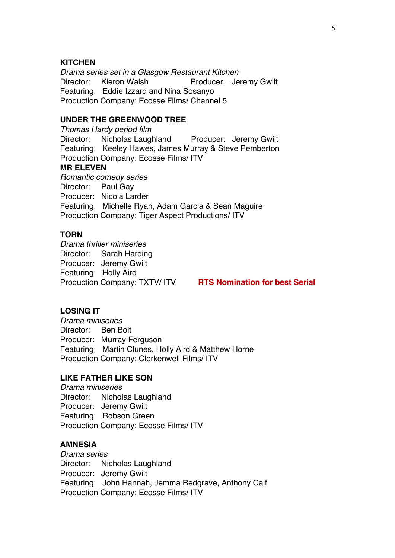### **KITCHEN**

*Drama series set in a Glasgow Restaurant Kitchen* Director: Kieron Walsh Producer: Jeremy Gwilt Featuring: Eddie Izzard and Nina Sosanyo Production Company: Ecosse Films/ Channel 5

## **UNDER THE GREENWOOD TREE**

*Thomas Hardy period film* Director: Nicholas Laughland Producer: Jeremy Gwilt Featuring: Keeley Hawes, James Murray & Steve Pemberton Production Company: Ecosse Films/ ITV **MR ELEVEN** *Romantic comedy series* Director: Paul Gay Producer: Nicola Larder Featuring: Michelle Ryan, Adam Garcia & Sean Maguire Production Company: Tiger Aspect Productions/ ITV

#### **TORN**

*Drama thriller miniseries* Director: Sarah Harding Producer: Jeremy Gwilt Featuring: Holly Aird Production Company: TXTV/ ITV **RTS Nomination for best Serial**

### **LOSING IT**

*Drama miniseries* Director: Ben Bolt Producer: Murray Ferguson Featuring: Martin Clunes, Holly Aird & Matthew Horne Production Company: Clerkenwell Films/ ITV

#### **LIKE FATHER LIKE SON**

*Drama miniseries* Director: Nicholas Laughland Producer: Jeremy Gwilt Featuring: Robson Green Production Company: Ecosse Films/ ITV

#### **AMNESIA**

*Drama series* Director: Nicholas Laughland Producer: Jeremy Gwilt Featuring: John Hannah, Jemma Redgrave, Anthony Calf Production Company: Ecosse Films/ ITV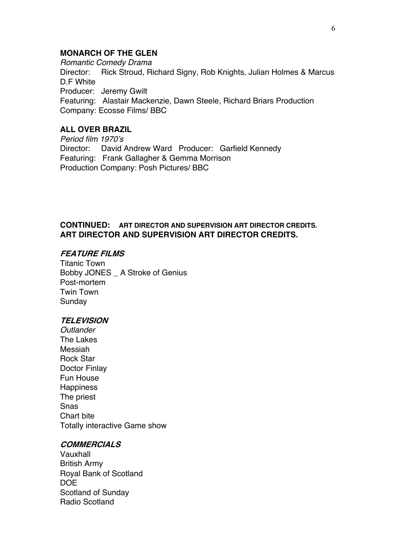#### **MONARCH OF THE GLEN**

*Romantic Comedy Drama*  Director: Rick Stroud, Richard Signy, Rob Knights, Julian Holmes & Marcus D.F White Producer: Jeremy Gwilt Featuring: Alastair Mackenzie, Dawn Steele, Richard Briars Production Company: Ecosse Films/ BBC

# **ALL OVER BRAZIL**

*Period film 1970's* Director: David Andrew Ward Producer: Garfield Kennedy Featuring: Frank Gallagher & Gemma Morrison Production Company: Posh Pictures/ BBC

### **CONTINUED: ART DIRECTOR AND SUPERVISION ART DIRECTOR CREDITS. ART DIRECTOR AND SUPERVISION ART DIRECTOR CREDITS.**

#### **FEATURE FILMS**

Titanic Town Bobby JONES \_ A Stroke of Genius Post-mortem Twin Town Sunday

#### **TELEVISION**

*Outlander* The Lakes Messiah Rock Star Doctor Finlay Fun House **Happiness** The priest Snas Chart bite Totally interactive Game show

#### **COMMERCIALS**

Vauxhall British Army Royal Bank of Scotland DOE Scotland of Sunday Radio Scotland